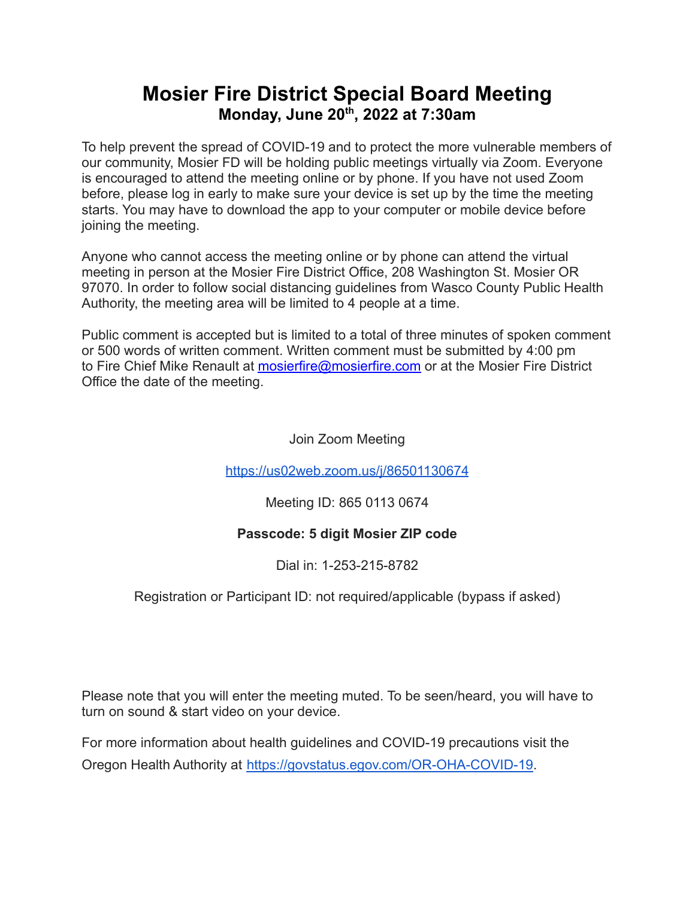## **Mosier Fire District Special Board Meeting Monday, June 20 th , 2022 at 7:30am**

To help prevent the spread of COVID-19 and to protect the more vulnerable members of our community, Mosier FD will be holding public meetings virtually via Zoom. Everyone is encouraged to attend the meeting online or by phone. If you have not used Zoom before, please log in early to make sure your device is set up by the time the meeting starts. You may have to download the app to your computer or mobile device before joining the meeting.

Anyone who cannot access the meeting online or by phone can attend the virtual meeting in person at the Mosier Fire District Office, 208 Washington St. Mosier OR 97070. In order to follow social distancing guidelines from Wasco County Public Health Authority, the meeting area will be limited to 4 people at a time.

Public comment is accepted but is limited to a total of three minutes of spoken comment or 500 words of written comment. Written comment must be submitted by 4:00 pm to Fire Chief Mike Renault at [mosierfire@mosierfire.com](mailto:mosierfire@mosierfire.com) or at the Mosier Fire District Office the date of the meeting.

Join Zoom Meeting

<https://us02web.zoom.us/j/86501130674>

Meeting ID: 865 0113 0674

## **Passcode: 5 digit Mosier ZIP code**

Dial in: 1-253-215-8782

Registration or Participant ID: not required/applicable (bypass if asked)

Please note that you will enter the meeting muted. To be seen/heard, you will have to turn on sound & start video on your device.

For more information about health guidelines and COVID-19 precautions visit the Oregon Health Authority at [https://govstatus.egov.com/OR-OHA-COVID-19.](https://govstatus.egov.com/OR-OHA-COVID-19)